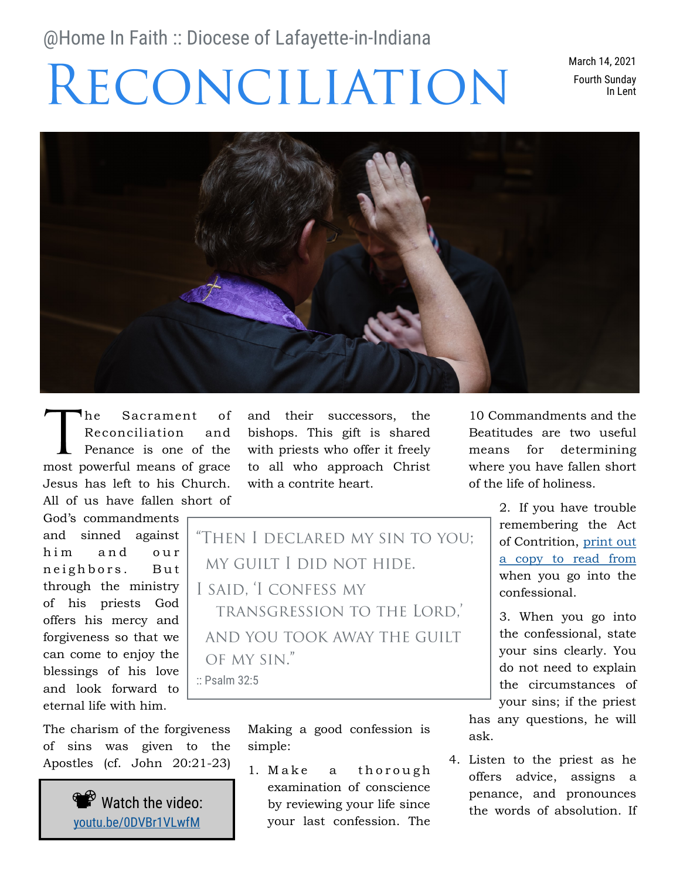# @Home In Faith :: Diocese of Lafayette-in-Indiana

# RECONCILIATION

March 14, 2021 Fourth Sunday In Lent



he Sacrament of Reconciliation and Penance is one of the most powerful means of grace Jesus has left to his Church. All of us have fallen short of

God's commandments and sinned against him and our neighbors. But through the ministry of his priests God offers his mercy and forgiveness so that we can come to enjoy the blessings of his love and look forward to eternal life with him.

The charism of the forgiveness of sins was given to the Apostles (cf. John 20:21-23)



and their successors, the bishops. This gift is shared with priests who offer it freely to all who approach Christ with a contrite heart.

"THEN I DECLARED MY SIN TO YOU: MY GUILT I DID NOT HIDE. I SAID. 'I CONFESS MY **TRANSGRESSION TO THE LORD.** AND YOU TOOK AWAY THE GUILT OF MY SIN."

:: Psalm 32:5

Making a good confession is simple:

1. Make a thorough examination of conscience by reviewing your life since your last confession. The

10 Commandments and the Beatitudes are two useful means for determining where you have fallen short of the life of holiness.

> 2. If you have trouble remembering the Act of Contrition, [print out](https://dol-in.org/documents/2019/5/2019-CatholicPrayerBooklet.pdf)  [a copy to read from](https://dol-in.org/documents/2019/5/2019-CatholicPrayerBooklet.pdf) when you go into the confessional.

> 3. When you go into the confessional, state your sins clearly. You do not need to explain the circumstances of your sins; if the priest

has any questions, he will ask.

4. Listen to the priest as he offers advice, assigns a penance, and pronounces the words of absolution. If